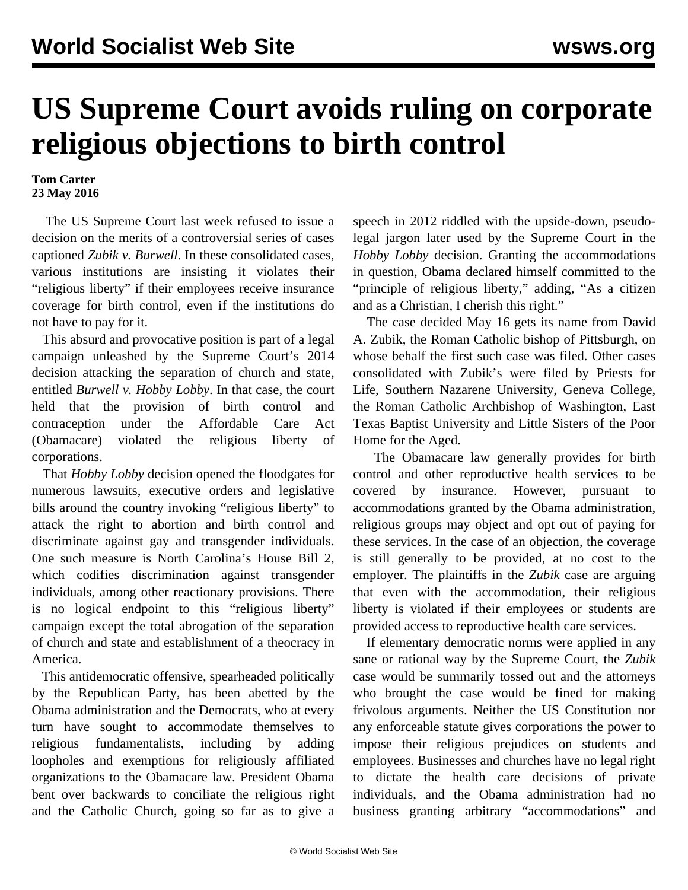## **US Supreme Court avoids ruling on corporate religious objections to birth control**

## **Tom Carter 23 May 2016**

 The US Supreme Court last week refused to issue a decision on the merits of a controversial series of cases captioned *Zubik v. Burwell*. In these consolidated cases, various institutions are insisting it violates their "religious liberty" if their employees receive insurance coverage for birth control, even if the institutions do not have to pay for it.

 This absurd and provocative position is part of a legal campaign unleashed by the Supreme Court's 2014 decision attacking the separation of church and state, entitled *Burwell v. Hobby Lobby*. In that case, the court held that the provision of birth control and contraception under the Affordable Care Act (Obamacare) violated the religious liberty of corporations.

 That *Hobby Lobby* decision opened the floodgates for numerous lawsuits, executive orders and legislative bills around the country invoking "religious liberty" to attack the right to abortion and birth control and discriminate against gay and transgender individuals. One such measure is North Carolina's House Bill 2, which codifies discrimination against transgender individuals, among other reactionary provisions. There is no logical endpoint to this "religious liberty" campaign except the total abrogation of the separation of church and state and establishment of a theocracy in America.

 This antidemocratic offensive, spearheaded politically by the Republican Party, has been abetted by the Obama administration and the Democrats, who at every turn have sought to accommodate themselves to religious fundamentalists, including by adding loopholes and exemptions for religiously affiliated organizations to the Obamacare law. President Obama bent over backwards to conciliate the religious right and the Catholic Church, going so far as to give a

speech in 2012 riddled with the upside-down, pseudolegal jargon later used by the Supreme Court in the *Hobby Lobby* decision. Granting the accommodations in question, Obama declared himself committed to the "principle of religious liberty," adding, "As a citizen and as a Christian, I cherish this right."

 The case decided May 16 gets its name from David A. Zubik, the Roman Catholic bishop of Pittsburgh, on whose behalf the first such case was filed. Other cases consolidated with Zubik's were filed by Priests for Life, Southern Nazarene University, Geneva College, the Roman Catholic Archbishop of Washington, East Texas Baptist University and Little Sisters of the Poor Home for the Aged.

 The Obamacare law generally provides for birth control and other reproductive health services to be covered by insurance. However, pursuant to accommodations granted by the Obama administration, religious groups may object and opt out of paying for these services. In the case of an objection, the coverage is still generally to be provided, at no cost to the employer. The plaintiffs in the *Zubik* case are arguing that even with the accommodation, their religious liberty is violated if their employees or students are provided access to reproductive health care services.

 If elementary democratic norms were applied in any sane or rational way by the Supreme Court, the *Zubik* case would be summarily tossed out and the attorneys who brought the case would be fined for making frivolous arguments. Neither the US Constitution nor any enforceable statute gives corporations the power to impose their religious prejudices on students and employees. Businesses and churches have no legal right to dictate the health care decisions of private individuals, and the Obama administration had no business granting arbitrary "accommodations" and